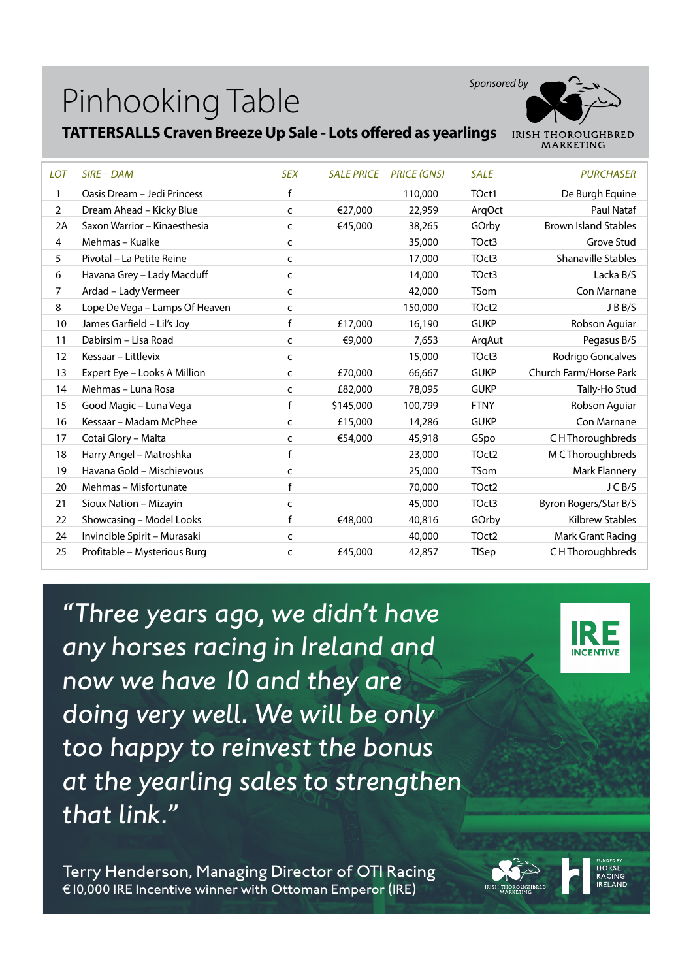

#### **TATTERSALLS Craven Breeze Up Sale - Lots offered as yearlings**

| <b>LOT</b>     | $SIRE$ – DAM                   | <b>SEX</b> | <b>SALE PRICE</b> | <b>PRICE (GNS)</b> | <b>SALE</b>       | <b>PURCHASER</b>            |
|----------------|--------------------------------|------------|-------------------|--------------------|-------------------|-----------------------------|
| 1              | Oasis Dream - Jedi Princess    | f          |                   | 110,000            | TOct1             | De Burgh Equine             |
| $\overline{2}$ | Dream Ahead - Kicky Blue       | C          | €27.000           | 22,959             | ArgOct            | <b>Paul Nataf</b>           |
| 2A             | Saxon Warrior - Kinaesthesia   | C          | €45,000           | 38,265             | GOrby             | <b>Brown Island Stables</b> |
| 4              | Mehmas - Kualke                | C          |                   | 35,000             | TOct3             | Grove Stud                  |
| 5              | Pivotal - La Petite Reine      | C          |                   | 17,000             | TOct3             | <b>Shanaville Stables</b>   |
| 6              | Havana Grey - Lady Macduff     | C          |                   | 14,000             | TOct3             | Lacka B/S                   |
| 7              | Ardad - Lady Vermeer           | C          |                   | 42,000             | <b>TSom</b>       | Con Marnane                 |
| 8              | Lope De Vega - Lamps Of Heaven | C          |                   | 150,000            | TOct <sub>2</sub> | JBB/S                       |
| 10             | James Garfield - Lil's Joy     | f          | £17,000           | 16,190             | <b>GUKP</b>       | Robson Aguiar               |
| 11             | Dabirsim - Lisa Road           | C          | €9,000            | 7,653              | ArgAut            | Pegasus B/S                 |
| 12             | Kessaar – Littlevix            | C          |                   | 15,000             | TOct3             | Rodrigo Goncalves           |
| 13             | Expert Eye - Looks A Million   | C          | £70,000           | 66,667             | <b>GUKP</b>       | Church Farm/Horse Park      |
| 14             | Mehmas - Luna Rosa             | C          | £82,000           | 78,095             | <b>GUKP</b>       | Tally-Ho Stud               |
| 15             | Good Magic - Luna Vega         | f          | \$145,000         | 100,799            | <b>FTNY</b>       | Robson Aguiar               |
| 16             | Kessaar – Madam McPhee         | C          | £15,000           | 14,286             | <b>GUKP</b>       | Con Marnane                 |
| 17             | Cotai Glory - Malta            | C          | €54,000           | 45,918             | GSpo              | C H Thoroughbreds           |
| 18             | Harry Angel - Matroshka        | f          |                   | 23,000             | TOct <sub>2</sub> | M C Thoroughbreds           |
| 19             | Havana Gold - Mischievous      | C          |                   | 25,000             | <b>TSom</b>       | Mark Flannery               |
| 20             | Mehmas - Misfortunate          | f          |                   | 70,000             | TOct <sub>2</sub> | JCB/S                       |
| 21             | Sioux Nation - Mizayin         | C          |                   | 45,000             | TOct3             | Byron Rogers/Star B/S       |
| 22             | Showcasing - Model Looks       | f          | €48,000           | 40,816             | GOrby             | <b>Kilbrew Stables</b>      |
| 24             | Invincible Spirit - Murasaki   | c          |                   | 40,000             | TOct <sub>2</sub> | Mark Grant Racing           |
| 25             | Profitable - Mysterious Burg   | c          | £45,000           | 42,857             | <b>TISep</b>      | C H Thoroughbreds           |

*"Three years ago, we didn't have any horses racing in Ireland and now we have 10 and they are doing very well. We will be only too happy to reinvest the bonus at the yearling sales to strengthen that link."* 

**INCENTIV** 

Terry Henderson, Managing Director of OTI Racing €10,000 IRE Incentive winner with Ottoman Emperor (IRE)

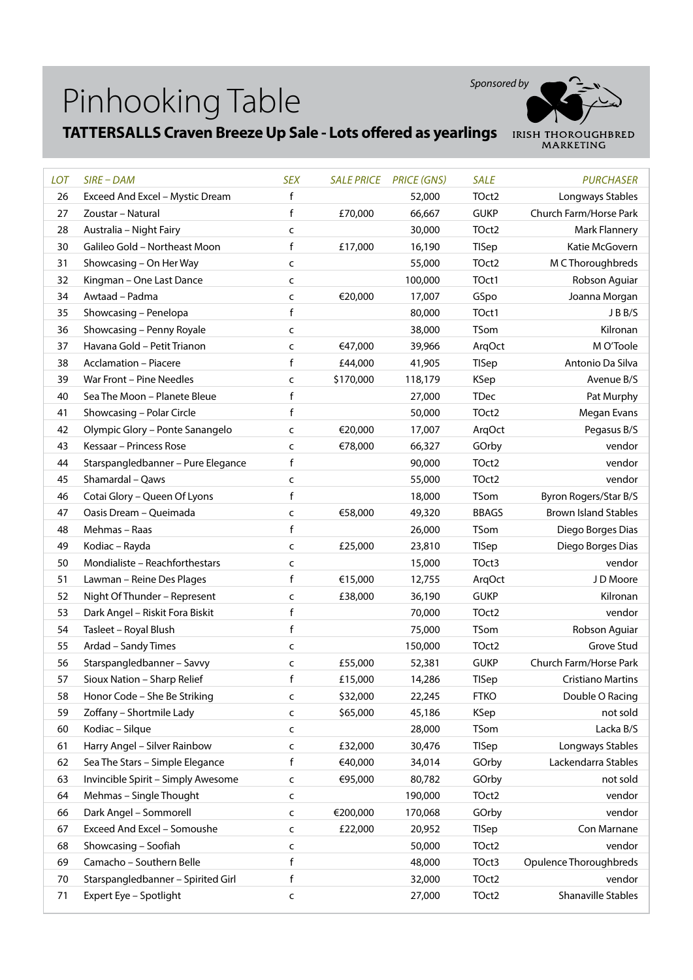

# **TATTERSALLS Craven Breeze Up Sale - Lots offered as yearlings** IRISH THOROUGHBRED

| <b>LOT</b> | $SIRE$ – $DAM$                     | <b>SEX</b>   | <b>SALE PRICE</b> | <b>PRICE (GNS)</b> | <b>SALE</b>  | <b>PURCHASER</b>            |
|------------|------------------------------------|--------------|-------------------|--------------------|--------------|-----------------------------|
| 26         | Exceed And Excel - Mystic Dream    | f            |                   | 52,000             | TOct2        | Longways Stables            |
| 27         | Zoustar - Natural                  | f            | £70,000           | 66,667             | <b>GUKP</b>  | Church Farm/Horse Park      |
| 28         | Australia - Night Fairy            | C            |                   | 30,000             | TOct2        | <b>Mark Flannery</b>        |
| 30         | Galileo Gold - Northeast Moon      | f            | £17,000           | 16,190             | TISep        | Katie McGovern              |
| 31         | Showcasing - On Her Way            | C            |                   | 55,000             | TOct2        | M C Thoroughbreds           |
| 32         | Kingman - One Last Dance           | C            |                   | 100,000            | TOct1        | Robson Aguiar               |
| 34         | Awtaad - Padma                     | C            | €20,000           | 17,007             | GSpo         | Joanna Morgan               |
| 35         | Showcasing - Penelopa              | f            |                   | 80,000             | TOct1        | JBB/S                       |
| 36         | Showcasing - Penny Royale          | C            |                   | 38,000             | <b>TSom</b>  | Kilronan                    |
| 37         | Havana Gold - Petit Trianon        | C            | €47,000           | 39,966             | ArqOct       | M O'Toole                   |
| 38         | <b>Acclamation - Piacere</b>       | $\mathsf f$  | £44,000           | 41,905             | TISep        | Antonio Da Silva            |
| 39         | War Front - Pine Needles           | C            | \$170,000         | 118,179            | <b>KSep</b>  | Avenue B/S                  |
| 40         | Sea The Moon - Planete Bleue       | f            |                   | 27,000             | <b>TDec</b>  | Pat Murphy                  |
| 41         | Showcasing - Polar Circle          | f            |                   | 50,000             | TOct2        | Megan Evans                 |
| 42         | Olympic Glory - Ponte Sanangelo    | C            | €20,000           | 17,007             | ArqOct       | Pegasus B/S                 |
| 43         | Kessaar - Princess Rose            | C            | €78,000           | 66,327             | GOrby        | vendor                      |
| 44         | Starspangledbanner - Pure Elegance | f            |                   | 90,000             | TOct2        | vendor                      |
| 45         | Shamardal - Qaws                   | C            |                   | 55,000             | TOct2        | vendor                      |
| 46         | Cotai Glory - Queen Of Lyons       | f            |                   | 18,000             | TSom         | Byron Rogers/Star B/S       |
| 47         | Oasis Dream - Queimada             | C            | €58,000           | 49,320             | <b>BBAGS</b> | <b>Brown Island Stables</b> |
| 48         | Mehmas - Raas                      | f            |                   | 26,000             | <b>TSom</b>  | Diego Borges Dias           |
| 49         | Kodiac - Rayda                     | C            | £25,000           | 23,810             | <b>TISep</b> | Diego Borges Dias           |
| 50         | Mondialiste - Reachforthestars     | C            |                   | 15,000             | TOct3        | vendor                      |
| 51         | Lawman - Reine Des Plages          | f            | €15,000           | 12,755             | ArqOct       | JD Moore                    |
| 52         | Night Of Thunder - Represent       | C            | £38,000           | 36,190             | <b>GUKP</b>  | Kilronan                    |
| 53         | Dark Angel - Riskit Fora Biskit    | f            |                   | 70,000             | TOct2        | vendor                      |
| 54         | Tasleet - Royal Blush              | f            |                   | 75,000             | TSom         | Robson Aguiar               |
| 55         | Ardad - Sandy Times                | C            |                   | 150,000            | TOct2        | Grove Stud                  |
| 56         | Starspangledbanner - Savvy         | C            | £55,000           | 52,381             | <b>GUKP</b>  | Church Farm/Horse Park      |
| 57         | Sioux Nation - Sharp Relief        | f            | £15,000           | 14,286             | <b>TISep</b> | <b>Cristiano Martins</b>    |
| 58         | Honor Code - She Be Striking       | C            | \$32,000          | 22,245             | <b>FTKO</b>  | Double O Racing             |
| 59         | Zoffany - Shortmile Lady           | C            | \$65,000          | 45,186             | KSep         | not sold                    |
| 60         | Kodiac - Silque                    | C            |                   | 28,000             | TSom         | Lacka B/S                   |
| 61         | Harry Angel - Silver Rainbow       | C            | £32,000           | 30,476             | <b>TISep</b> | Longways Stables            |
| 62         | Sea The Stars - Simple Elegance    | f            | €40,000           | 34,014             | GOrby        | Lackendarra Stables         |
| 63         | Invincible Spirit - Simply Awesome | C            | €95,000           | 80,782             | GOrby        | not sold                    |
| 64         | Mehmas - Single Thought            | C            |                   | 190,000            | TOct2        | vendor                      |
| 66         | Dark Angel - Sommorell             | C            | €200,000          | 170,068            | GOrby        | vendor                      |
| 67         | Exceed And Excel - Somoushe        | C            | £22,000           | 20,952             | <b>TISep</b> | Con Marnane                 |
| 68         | Showcasing - Soofiah               | $\mathsf{C}$ |                   | 50,000             | TOct2        | vendor                      |
| 69         | Camacho - Southern Belle           | $\mathsf f$  |                   | 48,000             | TOct3        | Opulence Thoroughbreds      |
| 70         | Starspangledbanner - Spirited Girl | f            |                   | 32,000             | TOct2        | vendor                      |
| 71         | Expert Eye - Spotlight             | C            |                   | 27,000             | TOct2        | Shanaville Stables          |
|            |                                    |              |                   |                    |              |                             |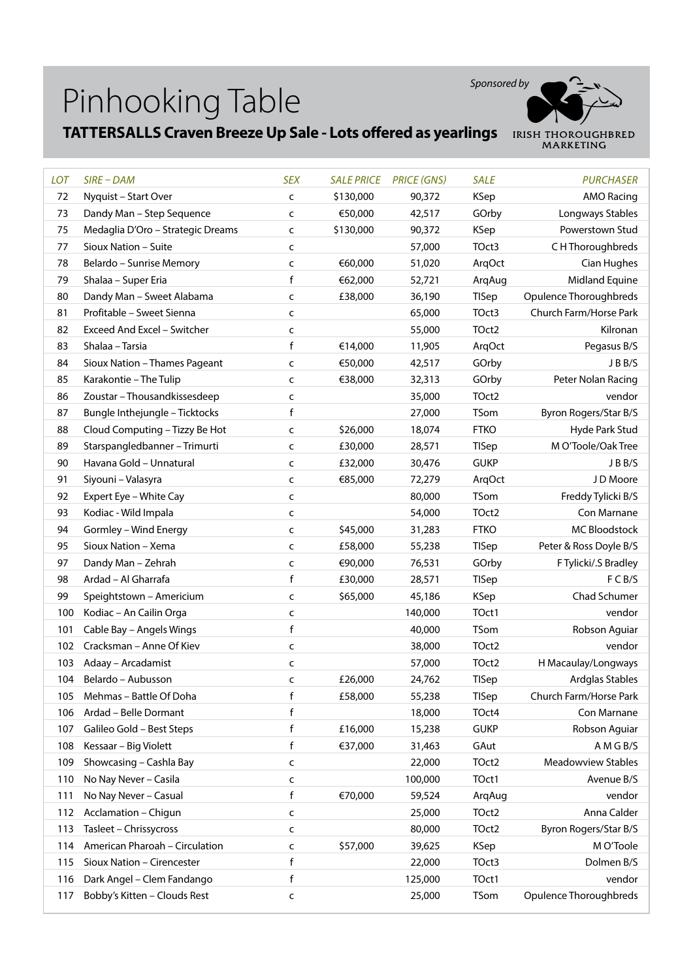

## **TATTERSALLS Craven Breeze Up Sale - Lots offered as yearlings** IRISH THOROUGHBRED

| LOT | $SIRE$ – DAM                      | <b>SEX</b>   | <b>SALE PRICE</b> | <b>PRICE (GNS)</b> | <b>SALE</b>  | <b>PURCHASER</b>          |
|-----|-----------------------------------|--------------|-------------------|--------------------|--------------|---------------------------|
| 72  | Nyquist - Start Over              | $\mathsf{C}$ | \$130,000         | 90,372             | <b>KSep</b>  | <b>AMO Racing</b>         |
| 73  | Dandy Man - Step Sequence         | C            | €50,000           | 42,517             | GOrby        | Longways Stables          |
| 75  | Medaglia D'Oro - Strategic Dreams | $\mathsf{C}$ | \$130,000         | 90,372             | <b>KSep</b>  | Powerstown Stud           |
| 77  | Sioux Nation - Suite              | C            |                   | 57,000             | TOct3        | C H Thoroughbreds         |
| 78  | Belardo - Sunrise Memory          | C            | €60,000           | 51,020             | ArqOct       | Cian Hughes               |
| 79  | Shalaa - Super Eria               | f            | €62,000           | 52,721             | ArqAug       | Midland Equine            |
| 80  | Dandy Man - Sweet Alabama         | C            | £38,000           | 36,190             | TISep        | Opulence Thoroughbreds    |
| 81  | Profitable - Sweet Sienna         | C            |                   | 65,000             | TOct3        | Church Farm/Horse Park    |
| 82  | Exceed And Excel - Switcher       | C            |                   | 55,000             | TOct2        | Kilronan                  |
| 83  | Shalaa - Tarsia                   | $\mathsf f$  | €14,000           | 11,905             | ArqOct       | Pegasus B/S               |
| 84  | Sioux Nation - Thames Pageant     | C            | €50,000           | 42,517             | GOrby        | JBB/S                     |
| 85  | Karakontie - The Tulip            | c            | €38,000           | 32,313             | GOrby        | Peter Nolan Racing        |
| 86  | Zoustar - Thousandkissesdeep      | C            |                   | 35,000             | TOct2        | vendor                    |
| 87  | Bungle Inthejungle - Ticktocks    | f            |                   | 27,000             | TSom         | Byron Rogers/Star B/S     |
| 88  | Cloud Computing - Tizzy Be Hot    | C            | \$26,000          | 18,074             | <b>FTKO</b>  | Hyde Park Stud            |
| 89  | Starspangledbanner - Trimurti     | C            | £30,000           | 28,571             | <b>TISep</b> | M O'Toole/Oak Tree        |
| 90  | Havana Gold - Unnatural           | C            | £32,000           | 30,476             | <b>GUKP</b>  | JBB/S                     |
| 91  | Siyouni - Valasyra                | C            | €85,000           | 72,279             | ArqOct       | J D Moore                 |
| 92  | Expert Eye - White Cay            | C            |                   | 80,000             | TSom         | Freddy Tylicki B/S        |
| 93  | Kodiac - Wild Impala              | C            |                   | 54,000             | TOct2        | Con Marnane               |
| 94  | Gormley - Wind Energy             | $\mathsf{C}$ | \$45,000          | 31,283             | <b>FTKO</b>  | <b>MC Bloodstock</b>      |
| 95  | Sioux Nation - Xema               | $\mathsf{C}$ | £58,000           | 55,238             | <b>TISep</b> | Peter & Ross Doyle B/S    |
| 97  | Dandy Man - Zehrah                | C            | €90,000           | 76,531             | GOrby        | F Tylicki/.S Bradley      |
| 98  | Ardad - Al Gharrafa               | f            | £30,000           | 28,571             | <b>TISep</b> | F C B/S                   |
| 99  | Speightstown - Americium          | C            | \$65,000          | 45,186             | <b>KSep</b>  | Chad Schumer              |
| 100 | Kodiac - An Cailin Orga           | C            |                   | 140,000            | TOct1        | vendor                    |
| 101 | Cable Bay - Angels Wings          | f            |                   | 40,000             | TSom         | Robson Aguiar             |
| 102 | Cracksman - Anne Of Kiev          | C            |                   | 38,000             | TOct2        | vendor                    |
| 103 | Adaay - Arcadamist                | $\mathsf{C}$ |                   | 57,000             | TOct2        | H Macaulay/Longways       |
| 104 | Belardo - Aubusson                | C            | £26,000           | 24,762             | TISep        | Ardglas Stables           |
| 105 | Mehmas - Battle Of Doha           | f            | £58,000           | 55,238             | TISep        | Church Farm/Horse Park    |
| 106 | Ardad - Belle Dormant             | f            |                   | 18,000             | TOct4        | Con Marnane               |
| 107 | Galileo Gold - Best Steps         | f            | £16,000           | 15,238             | <b>GUKP</b>  | Robson Aguiar             |
| 108 | Kessaar - Big Violett             | f            | €37,000           | 31,463             | GAut         | A M G B/S                 |
| 109 | Showcasing - Cashla Bay           | $\mathsf{C}$ |                   | 22,000             | TOct2        | <b>Meadowview Stables</b> |
| 110 | No Nay Never - Casila             | C            |                   | 100,000            | TOct1        | Avenue B/S                |
| 111 | No Nay Never - Casual             | f            | €70,000           | 59,524             | ArgAug       | vendor                    |
| 112 | Acclamation - Chigun              | c            |                   | 25,000             | TOct2        | Anna Calder               |
| 113 | Tasleet - Chrissycross            | C            |                   | 80,000             | TOct2        | Byron Rogers/Star B/S     |
| 114 | American Pharoah - Circulation    | C            | \$57,000          | 39,625             | KSep         | M O'Toole                 |
| 115 | Sioux Nation - Cirencester        | $\mathsf f$  |                   | 22,000             | TOct3        | Dolmen B/S                |
| 116 | Dark Angel - Clem Fandango        | f            |                   | 125,000            | TOct1        | vendor                    |
| 117 | Bobby's Kitten - Clouds Rest      | C            |                   | 25,000             | TSom         | Opulence Thoroughbreds    |
|     |                                   |              |                   |                    |              |                           |